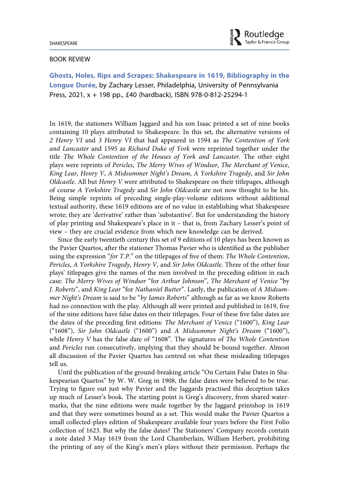## BOOK REVIEW

Ghosts, Holes, Rips and Scrapes: Shakespeare in 1619, Bibliography in the Longue Durée, by Zachary Lesser, Philadelphia, University of Pennsylvania Press, 2021, x + 198 pp., £40 (hardback), ISBN 978-0-812-25294-1

In 1619, the stationers William Jaggard and his son Isaac printed a set of nine books containing 10 plays attributed to Shakespeare. In this set, the alternative versions of 2 Henry VI and 3 Henry VI that had appeared in 1594 as The Contention of York and Lancaster and 1595 as Richard Duke of York were reprinted together under the title The Whole Contention of the Houses of York and Lancaster. The other eight plays were reprints of Pericles, The Merry Wives of Windsor, The Merchant of Venice, King Lear, Henry V, A Midsummer Night's Dream, A Yorkshire Tragedy, and Sir John Oldcastle. All but Henry V were attributed to Shakespeare on their titlepages, although of course A Yorkshire Tragedy and Sir John Oldcastle are not now thought to be his. Being simple reprints of preceding single-play-volume editions without additional textual authority, these 1619 editions are of no value in establishing what Shakespeare wrote; they are 'derivative' rather than 'substantive'. But for understanding the history of play printing and Shakespeare's place in it – that is, from Zachary Lesser's point of view – they are crucial evidence from which new knowledge can be derived.

Since the early twentieth century this set of 9 editions of 10 plays has been known as the Pavier Quartos, after the stationer Thomas Pavier who is identified as the publisher using the expression "for T.P." on the titlepages of five of them: The Whole Contention, Pericles, A Yorkshire Tragedy, Henry V, and Sir John Oldcastle. Three of the other four plays' titlepages give the names of the men involved in the preceding edition in each case: The Merry Wives of Windsor "for Arthur Johnson", The Merchant of Venice "by J. Roberts", and King Lear "for Nathaniel Butter". Lastly, the publication of A Midsummer Night's Dream is said to be "by Iames Roberts" although as far as we know Roberts had no connection with the play. Although all were printed and published in 1619, five of the nine editions have false dates on their titlepages. Four of these five false dates are the dates of the preceding first editions: The Merchant of Venice ("1600"), King Lear ("1608"), Sir John Oldcastle ("1600") and A Midsummer Night's Dream ("1600"), while Henry  $V$  has the false date of "1608". The signatures of The Whole Contention and Pericles run consecutively, implying that they should be bound together. Almost all discussion of the Pavier Quartos has centred on what these misleading titlepages tell us.

Until the publication of the ground-breaking article "On Certain False Dates in Shakespearian Quartos" by W. W. Greg in 1908, the false dates were believed to be true. Trying to figure out just why Pavier and the Jaggards practised this deception takes up much of Lesser's book. The starting point is Greg's discovery, from shared watermarks, that the nine editions were made together by the Jaggard printshop in 1619 and that they were sometimes bound as a set. This would make the Pavier Quartos a small collected-plays edition of Shakespeare available four years before the First Folio collection of 1623. But why the false dates? The Stationers' Company records contain a note dated 3 May 1619 from the Lord Chamberlain, William Herbert, prohibiting the printing of any of the King's men's plays without their permission. Perhaps the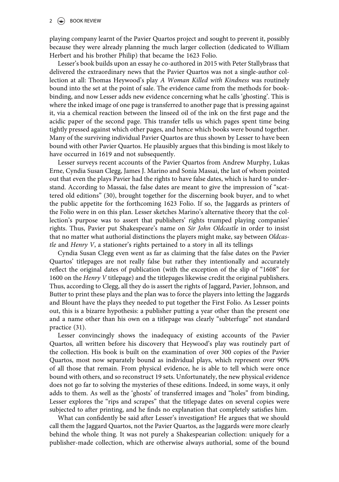playing company learnt of the Pavier Quartos project and sought to prevent it, possibly because they were already planning the much larger collection (dedicated to William Herbert and his brother Philip) that became the 1623 Folio.

Lesser's book builds upon an essay he co-authored in 2015 with Peter Stallybrass that delivered the extraordinary news that the Pavier Quartos was not a single-author collection at all: Thomas Heywood's play A Woman Killed with Kindness was routinely bound into the set at the point of sale. The evidence came from the methods for bookbinding, and now Lesser adds new evidence concerning what he calls 'ghosting'. This is where the inked image of one page is transferred to another page that is pressing against it, via a chemical reaction between the linseed oil of the ink on the first page and the acidic paper of the second page. This transfer tells us which pages spent time being tightly pressed against which other pages, and hence which books were bound together. Many of the surviving individual Pavier Quartos are thus shown by Lesser to have been bound with other Pavier Quartos. He plausibly argues that this binding is most likely to have occurred in 1619 and not subsequently.

Lesser surveys recent accounts of the Pavier Quartos from Andrew Murphy, Lukas Erne, Cyndia Susan Clegg, James J. Marino and Sonia Massai, the last of whom pointed out that even the plays Pavier had the rights to have false dates, which is hard to understand. According to Massai, the false dates are meant to give the impression of "scattered old editions" (30), brought together for the discerning book buyer, and to whet the public appetite for the forthcoming 1623 Folio. If so, the Jaggards as printers of the Folio were in on this plan. Lesser sketches Marino's alternative theory that the collection's purpose was to assert that publishers' rights trumped playing companies' rights. Thus, Pavier put Shakespeare's name on Sir John Oldcastle in order to insist that no matter what authorial distinctions the players might make, say between Oldcastle and Henry V, a stationer's rights pertained to a story in all its tellings

Cyndia Susan Clegg even went as far as claiming that the false dates on the Pavier Quartos' titlepages are not really false but rather they intentionally and accurately reflect the original dates of publication (with the exception of the slip of "1608" for 1600 on the Henry V titlepage) and the titlepages likewise credit the original publishers. Thus, according to Clegg, all they do is assert the rights of Jaggard, Pavier, Johnson, and Butter to print these plays and the plan was to force the players into letting the Jaggards and Blount have the plays they needed to put together the First Folio. As Lesser points out, this is a bizarre hypothesis: a publisher putting a year other than the present one and a name other than his own on a titlepage was clearly "subterfuge" not standard practice (31).

Lesser convincingly shows the inadequacy of existing accounts of the Pavier Quartos, all written before his discovery that Heywood's play was routinely part of the collection. His book is built on the examination of over 300 copies of the Pavier Quartos, most now separately bound as individual plays, which represent over 90% of all those that remain. From physical evidence, he is able to tell which were once bound with others, and so reconstruct 19 sets. Unfortunately, the new physical evidence does not go far to solving the mysteries of these editions. Indeed, in some ways, it only adds to them. As well as the 'ghosts' of transferred images and "holes" from binding, Lesser explores the "rips and scrapes" that the titlepage dates on several copies were subjected to after printing, and he finds no explanation that completely satisfies him.

What can confidently be said after Lesser's investigation? He argues that we should call them the Jaggard Quartos, not the Pavier Quartos, as the Jaggards were more clearly behind the whole thing. It was not purely a Shakespearian collection: uniquely for a publisher-made collection, which are otherwise always authorial, some of the bound